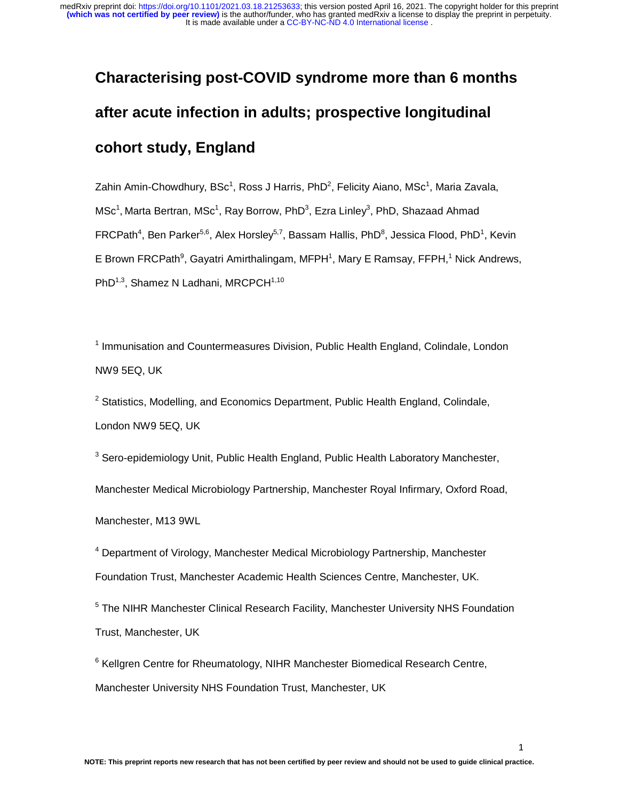# **Characterising post-COVID syndrome more than 6 months after acute infection in adults; prospective longitudinal cohort study, England**

Zahin Amin-Chowdhury, BSc<sup>1</sup>, Ross J Harris, PhD<sup>2</sup>, Felicity Aiano, MSc<sup>1</sup>, Maria Zavala,  ${\sf MSc}^1$ , Marta Bertran, MS ${\sf c}^1$ , Ray Borrow, PhD $^3$ , Ezra Linley $^3$ , PhD, Shazaad Ahmad FRCPath<sup>4</sup>, Ben Parker<sup>5,6</sup>, Alex Horsley<sup>5,7</sup>, Bassam Hallis, PhD<sup>8</sup>, Jessica Flood, PhD<sup>1</sup>, Kevin E Brown FRCPath<sup>9</sup>, Gayatri Amirthalingam, MFPH<sup>1</sup>, Mary E Ramsay, FFPH,<sup>1</sup> Nick Andrews, PhD<sup>1,3</sup>, Shamez N Ladhani, MRCPCH<sup>1,10</sup>

<sup>1</sup> Immunisation and Countermeasures Division, Public Health England, Colindale, London NW9 5EQ, UK

 $2$  Statistics, Modelling, and Economics Department, Public Health England, Colindale, London NW9 5EQ, UK

<sup>3</sup> Sero-epidemiology Unit, Public Health England, Public Health Laboratory Manchester, Manchester Medical Microbiology Partnership, Manchester Royal Infirmary, Oxford Road, Manchester, M13 9WL

<sup>4</sup> Department of Virology, Manchester Medical Microbiology Partnership, Manchester Foundation Trust, Manchester Academic Health Sciences Centre, Manchester, UK.

<sup>5</sup> The NIHR Manchester Clinical Research Facility, Manchester University NHS Foundation Trust, Manchester, UK

<sup>6</sup> Kellgren Centre for Rheumatology, NIHR Manchester Biomedical Research Centre, Manchester University NHS Foundation Trust, Manchester, UK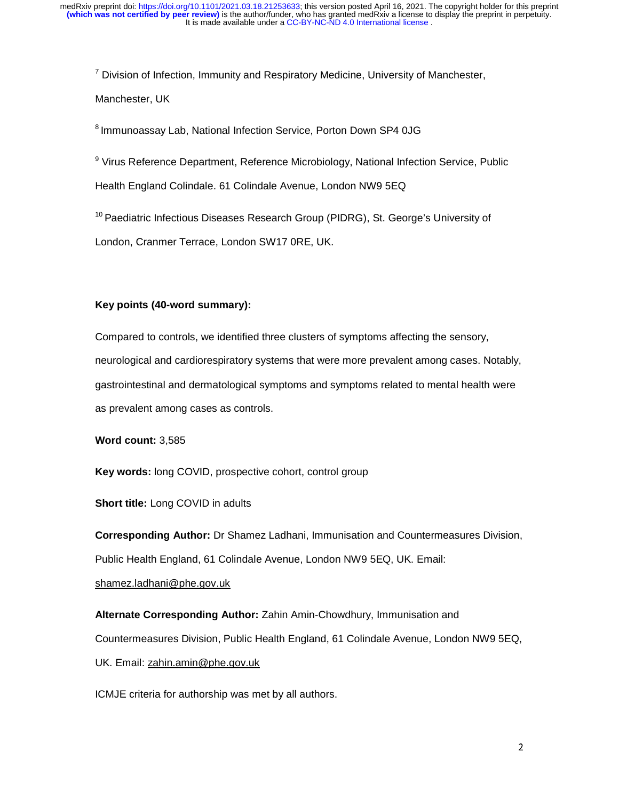<sup>7</sup> Division of Infection, Immunity and Respiratory Medicine, University of Manchester, Manchester, UK

8 Immunoassay Lab, National Infection Service, Porton Down SP4 0JG

<sup>9</sup> Virus Reference Department, Reference Microbiology, National Infection Service, Public

Health England Colindale. 61 Colindale Avenue, London NW9 5EQ

<sup>10</sup> Paediatric Infectious Diseases Research Group (PIDRG), St. George's University of

London, Cranmer Terrace, London SW17 0RE, UK.

#### **Key points (40-word summary):**

Compared to controls, we identified three clusters of symptoms affecting the sensory, neurological and cardiorespiratory systems that were more prevalent among cases. Notably, gastrointestinal and dermatological symptoms and symptoms related to mental health were as prevalent among cases as controls.

**Word count:** 3,585

**Key words:** long COVID, prospective cohort, control group

**Short title:** Long COVID in adults

**Corresponding Author:** Dr Shamez Ladhani, Immunisation and Countermeasures Division, Public Health England, 61 Colindale Avenue, London NW9 5EQ, UK. Email: shamez.ladhani@phe.gov.uk

**Alternate Corresponding Author:** Zahin Amin-Chowdhury, Immunisation and Countermeasures Division, Public Health England, 61 Colindale Avenue, London NW9 5EQ, UK. Email: zahin.amin@phe.gov.uk

ICMJE criteria for authorship was met by all authors.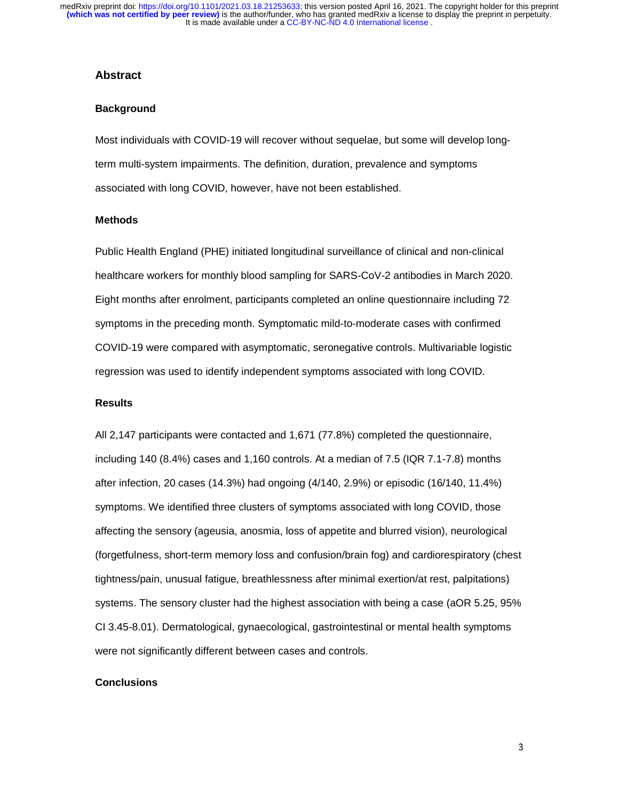#### **Abstract**

#### **Background**

Most individuals with COVID-19 will recover without sequelae, but some will develop longterm multi-system impairments. The definition, duration, prevalence and symptoms associated with long COVID, however, have not been established.

#### **Methods**

Public Health England (PHE) initiated longitudinal surveillance of clinical and non-clinical healthcare workers for monthly blood sampling for SARS-CoV-2 antibodies in March 2020. Eight months after enrolment, participants completed an online questionnaire including 72 symptoms in the preceding month. Symptomatic mild-to-moderate cases with confirmed COVID-19 were compared with asymptomatic, seronegative controls. Multivariable logistic regression was used to identify independent symptoms associated with long COVID.

#### **Results**

All 2,147 participants were contacted and 1,671 (77.8%) completed the questionnaire, including 140 (8.4%) cases and 1,160 controls. At a median of 7.5 (IQR 7.1-7.8) months after infection, 20 cases (14.3%) had ongoing (4/140, 2.9%) or episodic (16/140, 11.4%) symptoms. We identified three clusters of symptoms associated with long COVID, those affecting the sensory (ageusia, anosmia, loss of appetite and blurred vision), neurological (forgetfulness, short-term memory loss and confusion/brain fog) and cardiorespiratory (chest tightness/pain, unusual fatigue, breathlessness after minimal exertion/at rest, palpitations) systems. The sensory cluster had the highest association with being a case (aOR 5.25, 95% CI 3.45-8.01). Dermatological, gynaecological, gastrointestinal or mental health symptoms were not significantly different between cases and controls.

#### **Conclusions**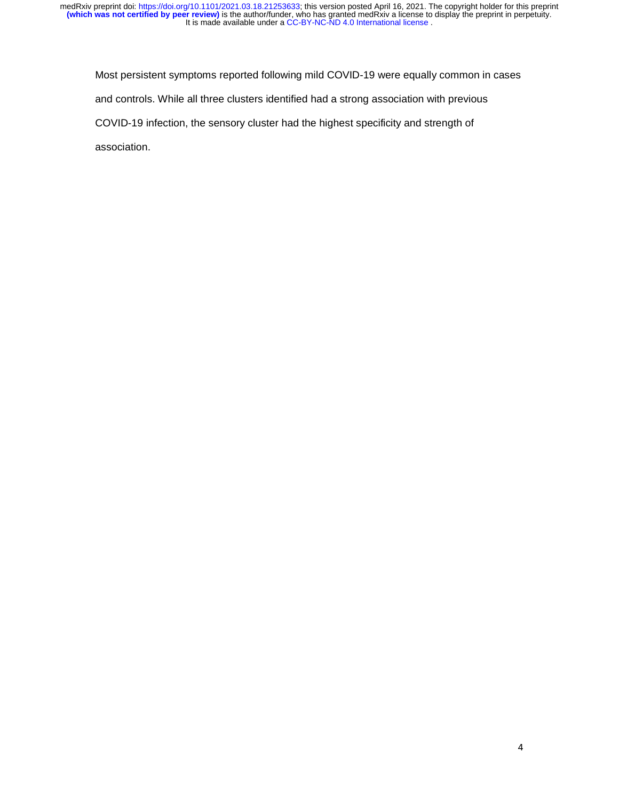Most persistent symptoms reported following mild COVID-19 were equally common in cases and controls. While all three clusters identified had a strong association with previous COVID-19 infection, the sensory cluster had the highest specificity and strength of association.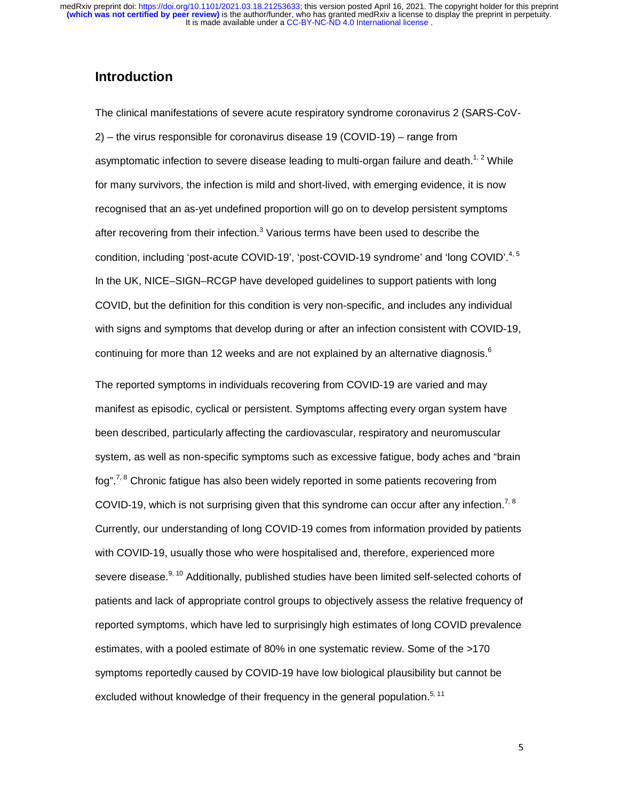# **Introduction**

The clinical manifestations of severe acute respiratory syndrome coronavirus 2 (SARS-CoV-2) – the virus responsible for coronavirus disease 19 (COVID-19) – range from asymptomatic infection to severe disease leading to multi-organ failure and death.<sup>1, 2</sup> While for many survivors, the infection is mild and short-lived, with emerging evidence, it is now recognised that an as-yet undefined proportion will go on to develop persistent symptoms after recovering from their infection.<sup>3</sup> Various terms have been used to describe the condition, including 'post-acute COVID-19', 'post-COVID-19 syndrome' and 'long COVID'.<sup>4, 5</sup> In the UK, NICE–SIGN–RCGP have developed guidelines to support patients with long COVID, but the definition for this condition is very non-specific, and includes any individual with signs and symptoms that develop during or after an infection consistent with COVID-19, continuing for more than 12 weeks and are not explained by an alternative diagnosis. $6$ 

The reported symptoms in individuals recovering from COVID-19 are varied and may manifest as episodic, cyclical or persistent. Symptoms affecting every organ system have been described, particularly affecting the cardiovascular, respiratory and neuromuscular system, as well as non-specific symptoms such as excessive fatigue, body aches and "brain fog".<sup>7, 8</sup> Chronic fatigue has also been widely reported in some patients recovering from COVID-19, which is not surprising given that this syndrome can occur after any infection.<sup>7, 8</sup> Currently, our understanding of long COVID-19 comes from information provided by patients with COVID-19, usually those who were hospitalised and, therefore, experienced more severe disease.<sup>9, 10</sup> Additionally, published studies have been limited self-selected cohorts of patients and lack of appropriate control groups to objectively assess the relative frequency of reported symptoms, which have led to surprisingly high estimates of long COVID prevalence estimates, with a pooled estimate of 80% in one systematic review. Some of the >170 symptoms reportedly caused by COVID-19 have low biological plausibility but cannot be excluded without knowledge of their frequency in the general population.<sup>5, 11</sup>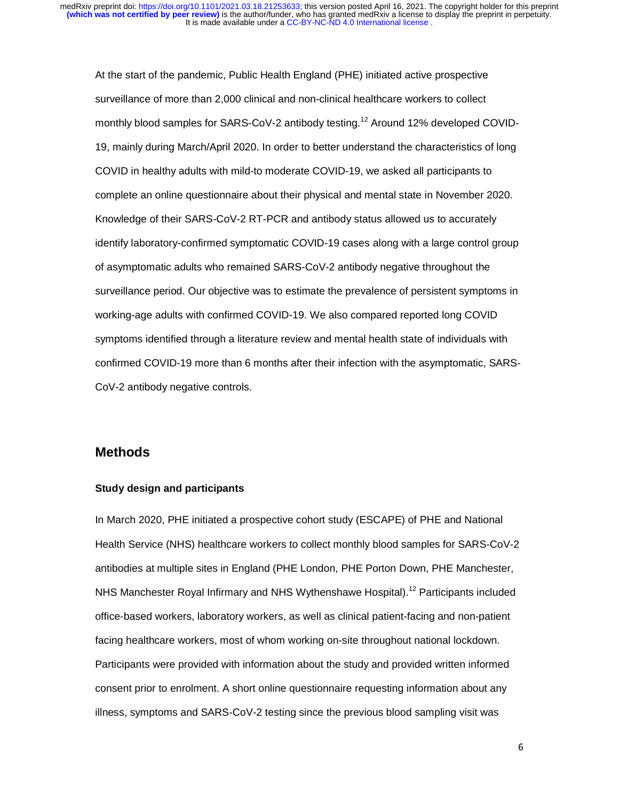At the start of the pandemic, Public Health England (PHE) initiated active prospective surveillance of more than 2,000 clinical and non-clinical healthcare workers to collect monthly blood samples for SARS-CoV-2 antibody testing.<sup>12</sup> Around 12% developed COVID-19, mainly during March/April 2020. In order to better understand the characteristics of long COVID in healthy adults with mild-to moderate COVID-19, we asked all participants to complete an online questionnaire about their physical and mental state in November 2020. Knowledge of their SARS-CoV-2 RT-PCR and antibody status allowed us to accurately identify laboratory-confirmed symptomatic COVID-19 cases along with a large control group of asymptomatic adults who remained SARS-CoV-2 antibody negative throughout the surveillance period. Our objective was to estimate the prevalence of persistent symptoms in working-age adults with confirmed COVID-19. We also compared reported long COVID symptoms identified through a literature review and mental health state of individuals with confirmed COVID-19 more than 6 months after their infection with the asymptomatic, SARS-CoV-2 antibody negative controls.

# **Methods**

#### **Study design and participants**

In March 2020, PHE initiated a prospective cohort study (ESCAPE) of PHE and National Health Service (NHS) healthcare workers to collect monthly blood samples for SARS-CoV-2 antibodies at multiple sites in England (PHE London, PHE Porton Down, PHE Manchester, NHS Manchester Royal Infirmary and NHS Wythenshawe Hospital).<sup>12</sup> Participants included office-based workers, laboratory workers, as well as clinical patient-facing and non-patient facing healthcare workers, most of whom working on-site throughout national lockdown. Participants were provided with information about the study and provided written informed consent prior to enrolment. A short online questionnaire requesting information about any illness, symptoms and SARS-CoV-2 testing since the previous blood sampling visit was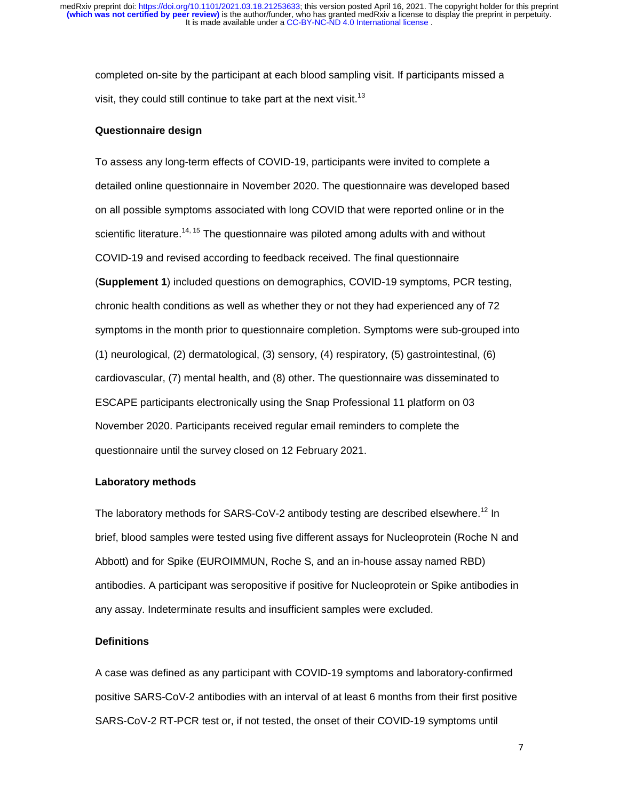completed on-site by the participant at each blood sampling visit. If participants missed a visit, they could still continue to take part at the next visit.<sup>13</sup>

#### **Questionnaire design**

To assess any long-term effects of COVID-19, participants were invited to complete a detailed online questionnaire in November 2020. The questionnaire was developed based on all possible symptoms associated with long COVID that were reported online or in the scientific literature.<sup>14, 15</sup> The questionnaire was piloted among adults with and without COVID-19 and revised according to feedback received. The final questionnaire (**Supplement 1**) included questions on demographics, COVID-19 symptoms, PCR testing, chronic health conditions as well as whether they or not they had experienced any of 72 symptoms in the month prior to questionnaire completion. Symptoms were sub-grouped into (1) neurological, (2) dermatological, (3) sensory, (4) respiratory, (5) gastrointestinal, (6) cardiovascular, (7) mental health, and (8) other. The questionnaire was disseminated to ESCAPE participants electronically using the Snap Professional 11 platform on 03 November 2020. Participants received regular email reminders to complete the questionnaire until the survey closed on 12 February 2021.

#### **Laboratory methods**

The laboratory methods for SARS-CoV-2 antibody testing are described elsewhere.<sup>12</sup> In brief, blood samples were tested using five different assays for Nucleoprotein (Roche N and Abbott) and for Spike (EUROIMMUN, Roche S, and an in-house assay named RBD) antibodies. A participant was seropositive if positive for Nucleoprotein or Spike antibodies in any assay. Indeterminate results and insufficient samples were excluded.

#### **Definitions**

A case was defined as any participant with COVID-19 symptoms and laboratory-confirmed positive SARS-CoV-2 antibodies with an interval of at least 6 months from their first positive SARS-CoV-2 RT-PCR test or, if not tested, the onset of their COVID-19 symptoms until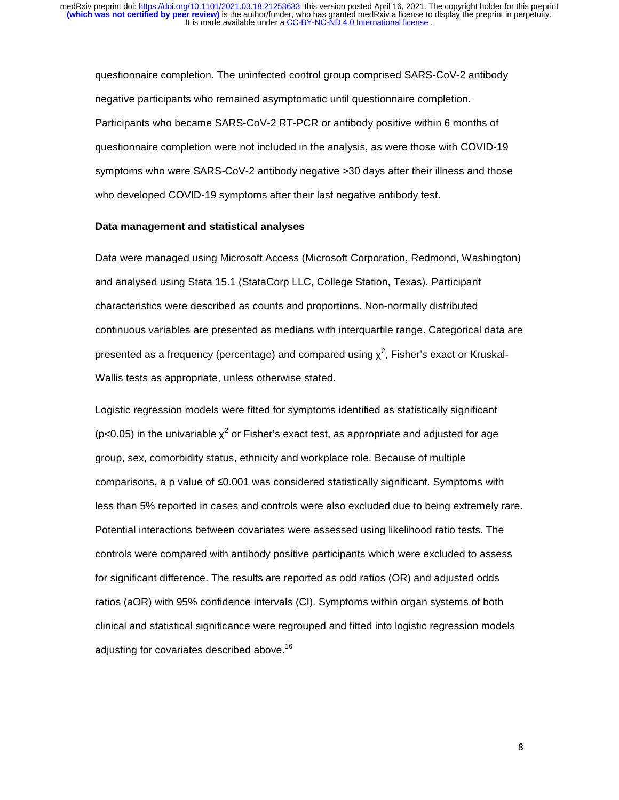questionnaire completion. The uninfected control group comprised SARS-CoV-2 antibody negative participants who remained asymptomatic until questionnaire completion. Participants who became SARS-CoV-2 RT-PCR or antibody positive within 6 months of questionnaire completion were not included in the analysis, as were those with COVID-19 symptoms who were SARS-CoV-2 antibody negative >30 days after their illness and those who developed COVID-19 symptoms after their last negative antibody test.

#### **Data management and statistical analyses**

Data were managed using Microsoft Access (Microsoft Corporation, Redmond, Washington) and analysed using Stata 15.1 (StataCorp LLC, College Station, Texas). Participant characteristics were described as counts and proportions. Non-normally distributed continuous variables are presented as medians with interquartile range. Categorical data are presented as a frequency (percentage) and compared using  $\chi^2$ , Fisher's exact or Kruskal-Wallis tests as appropriate, unless otherwise stated.

Logistic regression models were fitted for symptoms identified as statistically significant (p<0.05) in the univariable  $\chi^2$  or Fisher's exact test, as appropriate and adjusted for age group, sex, comorbidity status, ethnicity and workplace role. Because of multiple comparisons, a p value of ≤0.001 was considered statistically significant. Symptoms with less than 5% reported in cases and controls were also excluded due to being extremely rare. Potential interactions between covariates were assessed using likelihood ratio tests. The controls were compared with antibody positive participants which were excluded to assess for significant difference. The results are reported as odd ratios (OR) and adjusted odds ratios (aOR) with 95% confidence intervals (CI). Symptoms within organ systems of both clinical and statistical significance were regrouped and fitted into logistic regression models adjusting for covariates described above.<sup>16</sup>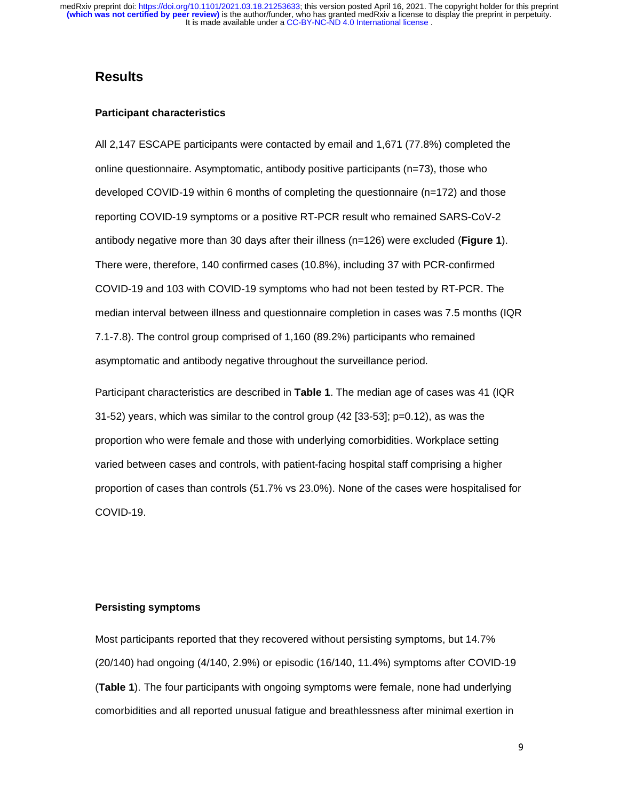# **Results**

#### **Participant characteristics**

All 2,147 ESCAPE participants were contacted by email and 1,671 (77.8%) completed the online questionnaire. Asymptomatic, antibody positive participants (n=73), those who developed COVID-19 within 6 months of completing the questionnaire (n=172) and those reporting COVID-19 symptoms or a positive RT-PCR result who remained SARS-CoV-2 antibody negative more than 30 days after their illness (n=126) were excluded (**Figure 1**). There were, therefore, 140 confirmed cases (10.8%), including 37 with PCR-confirmed COVID-19 and 103 with COVID-19 symptoms who had not been tested by RT-PCR. The median interval between illness and questionnaire completion in cases was 7.5 months (IQR 7.1-7.8). The control group comprised of 1,160 (89.2%) participants who remained asymptomatic and antibody negative throughout the surveillance period.

Participant characteristics are described in **Table 1**. The median age of cases was 41 (IQR 31-52) years, which was similar to the control group (42 [33-53]; p=0.12), as was the proportion who were female and those with underlying comorbidities. Workplace setting varied between cases and controls, with patient-facing hospital staff comprising a higher proportion of cases than controls (51.7% vs 23.0%). None of the cases were hospitalised for COVID-19.

#### **Persisting symptoms**

Most participants reported that they recovered without persisting symptoms, but 14.7% (20/140) had ongoing (4/140, 2.9%) or episodic (16/140, 11.4%) symptoms after COVID-19 (**Table 1**). The four participants with ongoing symptoms were female, none had underlying comorbidities and all reported unusual fatigue and breathlessness after minimal exertion in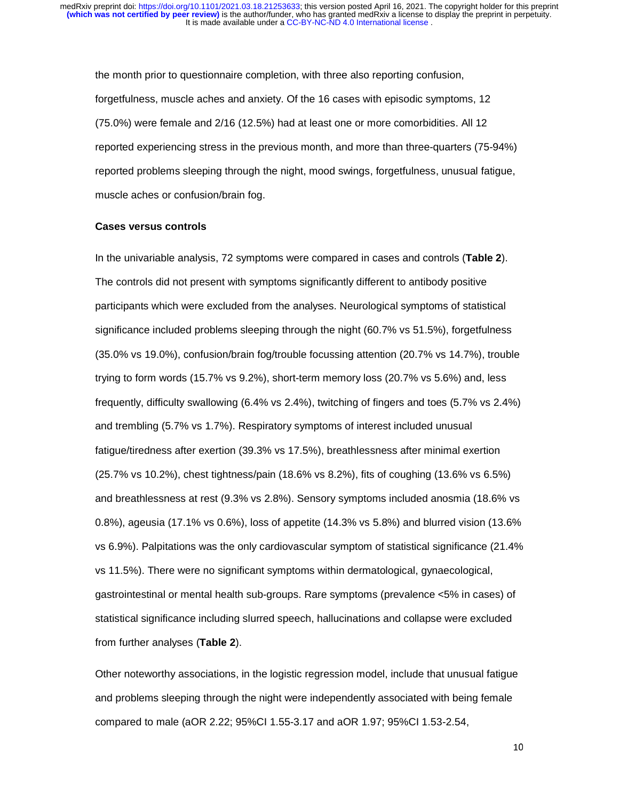the month prior to questionnaire completion, with three also reporting confusion, forgetfulness, muscle aches and anxiety. Of the 16 cases with episodic symptoms, 12 (75.0%) were female and 2/16 (12.5%) had at least one or more comorbidities. All 12 reported experiencing stress in the previous month, and more than three-quarters (75-94%) reported problems sleeping through the night, mood swings, forgetfulness, unusual fatigue, muscle aches or confusion/brain fog.

#### **Cases versus controls**

In the univariable analysis, 72 symptoms were compared in cases and controls (**Table 2**). The controls did not present with symptoms significantly different to antibody positive participants which were excluded from the analyses. Neurological symptoms of statistical significance included problems sleeping through the night (60.7% vs 51.5%), forgetfulness (35.0% vs 19.0%), confusion/brain fog/trouble focussing attention (20.7% vs 14.7%), trouble trying to form words (15.7% vs 9.2%), short-term memory loss (20.7% vs 5.6%) and, less frequently, difficulty swallowing (6.4% vs 2.4%), twitching of fingers and toes (5.7% vs 2.4%) and trembling (5.7% vs 1.7%). Respiratory symptoms of interest included unusual fatigue/tiredness after exertion (39.3% vs 17.5%), breathlessness after minimal exertion (25.7% vs 10.2%), chest tightness/pain (18.6% vs 8.2%), fits of coughing (13.6% vs 6.5%) and breathlessness at rest (9.3% vs 2.8%). Sensory symptoms included anosmia (18.6% vs 0.8%), ageusia (17.1% vs 0.6%), loss of appetite (14.3% vs 5.8%) and blurred vision (13.6% vs 6.9%). Palpitations was the only cardiovascular symptom of statistical significance (21.4% vs 11.5%). There were no significant symptoms within dermatological, gynaecological, gastrointestinal or mental health sub-groups. Rare symptoms (prevalence <5% in cases) of statistical significance including slurred speech, hallucinations and collapse were excluded from further analyses (**Table 2**).

Other noteworthy associations, in the logistic regression model, include that unusual fatigue and problems sleeping through the night were independently associated with being female compared to male (aOR 2.22; 95%CI 1.55-3.17 and aOR 1.97; 95%CI 1.53-2.54,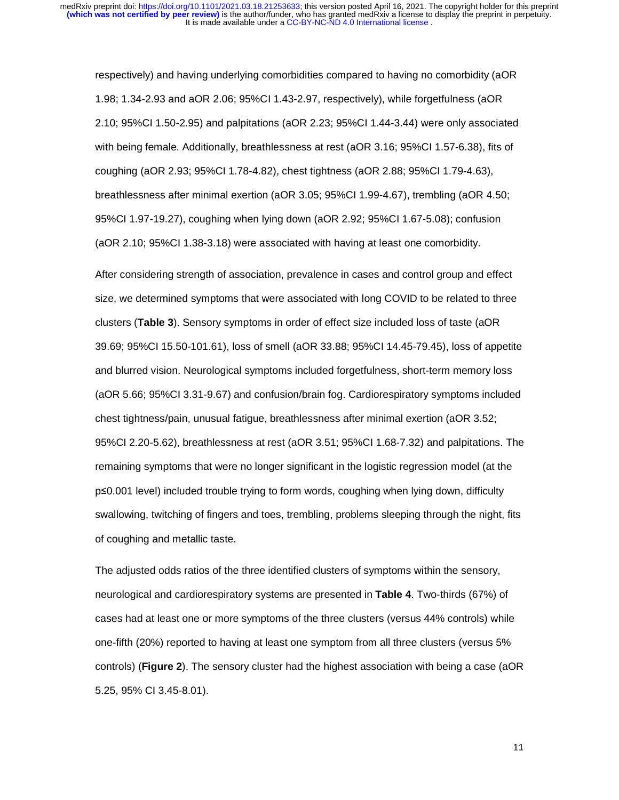respectively) and having underlying comorbidities compared to having no comorbidity (aOR 1.98; 1.34-2.93 and aOR 2.06; 95%CI 1.43-2.97, respectively), while forgetfulness (aOR 2.10; 95%CI 1.50-2.95) and palpitations (aOR 2.23; 95%CI 1.44-3.44) were only associated with being female. Additionally, breathlessness at rest (aOR 3.16; 95%CI 1.57-6.38), fits of coughing (aOR 2.93; 95%CI 1.78-4.82), chest tightness (aOR 2.88; 95%CI 1.79-4.63), breathlessness after minimal exertion (aOR 3.05; 95%CI 1.99-4.67), trembling (aOR 4.50; 95%CI 1.97-19.27), coughing when lying down (aOR 2.92; 95%CI 1.67-5.08); confusion (aOR 2.10; 95%CI 1.38-3.18) were associated with having at least one comorbidity.

After considering strength of association, prevalence in cases and control group and effect size, we determined symptoms that were associated with long COVID to be related to three clusters (**Table 3**). Sensory symptoms in order of effect size included loss of taste (aOR 39.69; 95%CI 15.50-101.61), loss of smell (aOR 33.88; 95%CI 14.45-79.45), loss of appetite and blurred vision. Neurological symptoms included forgetfulness, short-term memory loss (aOR 5.66; 95%CI 3.31-9.67) and confusion/brain fog. Cardiorespiratory symptoms included chest tightness/pain, unusual fatigue, breathlessness after minimal exertion (aOR 3.52; 95%CI 2.20-5.62), breathlessness at rest (aOR 3.51; 95%CI 1.68-7.32) and palpitations. The remaining symptoms that were no longer significant in the logistic regression model (at the <sup>p</sup>≤0.001 level) included trouble trying to form words, coughing when lying down, difficulty swallowing, twitching of fingers and toes, trembling, problems sleeping through the night, fits of coughing and metallic taste.

The adjusted odds ratios of the three identified clusters of symptoms within the sensory, neurological and cardiorespiratory systems are presented in **Table 4**. Two-thirds (67%) of cases had at least one or more symptoms of the three clusters (versus 44% controls) while one-fifth (20%) reported to having at least one symptom from all three clusters (versus 5% controls) (**Figure 2**). The sensory cluster had the highest association with being a case (aOR 5.25, 95% CI 3.45-8.01).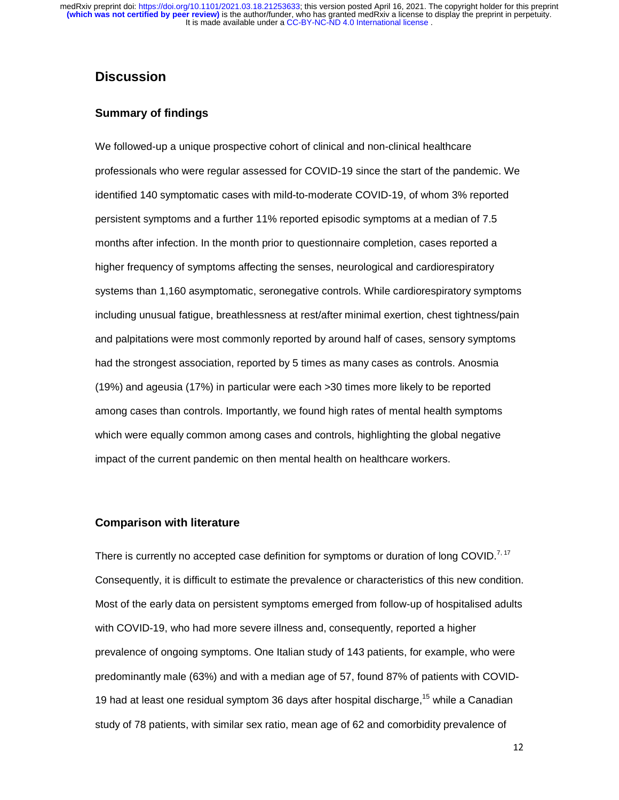# **Discussion**

### **Summary of findings**

We followed-up a unique prospective cohort of clinical and non-clinical healthcare professionals who were regular assessed for COVID-19 since the start of the pandemic. We identified 140 symptomatic cases with mild-to-moderate COVID-19, of whom 3% reported persistent symptoms and a further 11% reported episodic symptoms at a median of 7.5 months after infection. In the month prior to questionnaire completion, cases reported a higher frequency of symptoms affecting the senses, neurological and cardiorespiratory systems than 1,160 asymptomatic, seronegative controls. While cardiorespiratory symptoms including unusual fatigue, breathlessness at rest/after minimal exertion, chest tightness/pain and palpitations were most commonly reported by around half of cases, sensory symptoms had the strongest association, reported by 5 times as many cases as controls. Anosmia (19%) and ageusia (17%) in particular were each >30 times more likely to be reported among cases than controls. Importantly, we found high rates of mental health symptoms which were equally common among cases and controls, highlighting the global negative impact of the current pandemic on then mental health on healthcare workers.

#### **Comparison with literature**

There is currently no accepted case definition for symptoms or duration of long COVID.<sup>7, 17</sup> Consequently, it is difficult to estimate the prevalence or characteristics of this new condition. Most of the early data on persistent symptoms emerged from follow-up of hospitalised adults with COVID-19, who had more severe illness and, consequently, reported a higher prevalence of ongoing symptoms. One Italian study of 143 patients, for example, who were predominantly male (63%) and with a median age of 57, found 87% of patients with COVID-19 had at least one residual symptom 36 days after hospital discharge,  $15$  while a Canadian study of 78 patients, with similar sex ratio, mean age of 62 and comorbidity prevalence of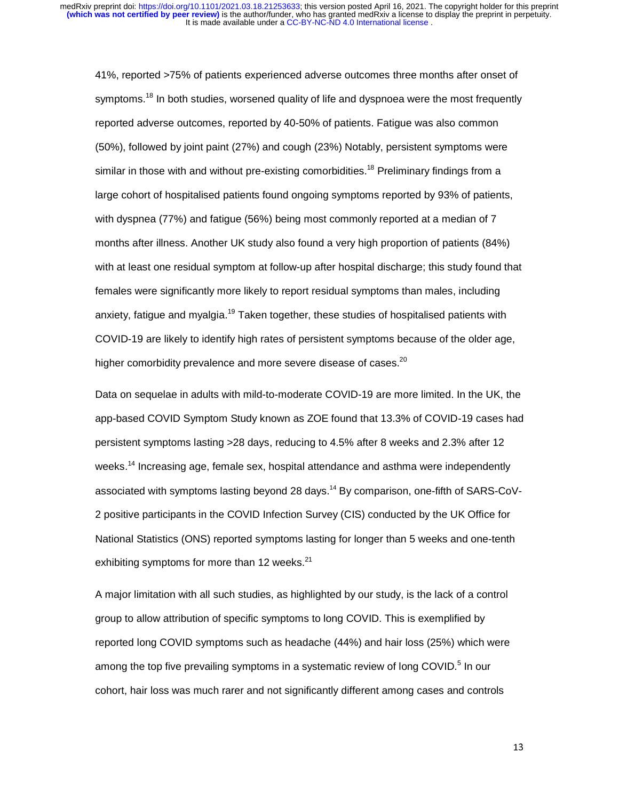41%, reported >75% of patients experienced adverse outcomes three months after onset of symptoms.<sup>18</sup> In both studies, worsened quality of life and dyspnoea were the most frequently reported adverse outcomes, reported by 40-50% of patients. Fatigue was also common (50%), followed by joint paint (27%) and cough (23%) Notably, persistent symptoms were similar in those with and without pre-existing comorbidities.<sup>18</sup> Preliminary findings from a large cohort of hospitalised patients found ongoing symptoms reported by 93% of patients, with dyspnea (77%) and fatigue (56%) being most commonly reported at a median of 7 months after illness. Another UK study also found a very high proportion of patients (84%) with at least one residual symptom at follow-up after hospital discharge; this study found that females were significantly more likely to report residual symptoms than males, including anxiety, fatigue and myalgia.<sup>19</sup> Taken together, these studies of hospitalised patients with COVID-19 are likely to identify high rates of persistent symptoms because of the older age, higher comorbidity prevalence and more severe disease of cases.<sup>20</sup>

Data on sequelae in adults with mild-to-moderate COVID-19 are more limited. In the UK, the app-based COVID Symptom Study known as ZOE found that 13.3% of COVID-19 cases had persistent symptoms lasting >28 days, reducing to 4.5% after 8 weeks and 2.3% after 12 weeks.<sup>14</sup> Increasing age, female sex, hospital attendance and asthma were independently associated with symptoms lasting beyond 28 days.14 By comparison, one-fifth of SARS-CoV-2 positive participants in the COVID Infection Survey (CIS) conducted by the UK Office for National Statistics (ONS) reported symptoms lasting for longer than 5 weeks and one-tenth exhibiting symptoms for more than 12 weeks. $21$ 

A major limitation with all such studies, as highlighted by our study, is the lack of a control group to allow attribution of specific symptoms to long COVID. This is exemplified by reported long COVID symptoms such as headache (44%) and hair loss (25%) which were among the top five prevailing symptoms in a systematic review of long COVID.<sup>5</sup> In our cohort, hair loss was much rarer and not significantly different among cases and controls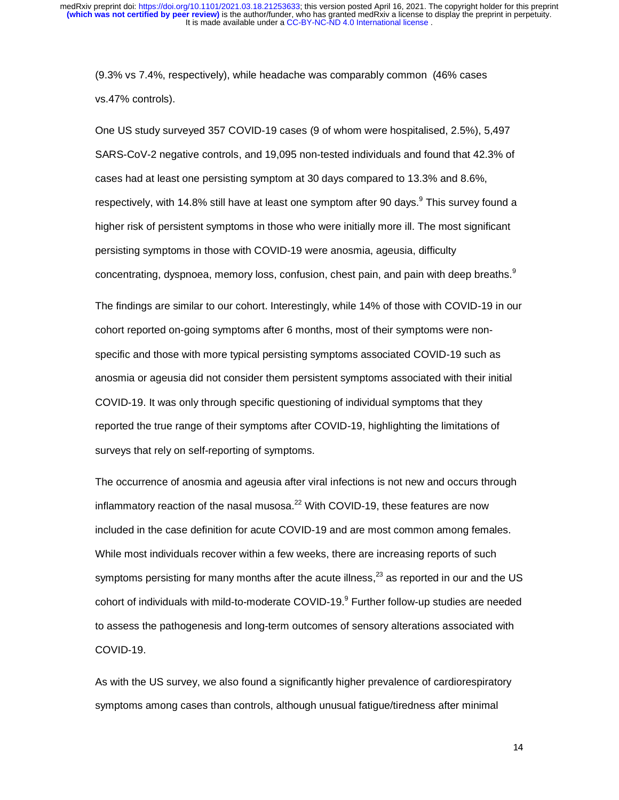(9.3% vs 7.4%, respectively), while headache was comparably common (46% cases vs.47% controls).

One US study surveyed 357 COVID-19 cases (9 of whom were hospitalised, 2.5%), 5,497 SARS-CoV-2 negative controls, and 19,095 non-tested individuals and found that 42.3% of cases had at least one persisting symptom at 30 days compared to 13.3% and 8.6%, respectively, with 14.8% still have at least one symptom after 90 days.<sup>9</sup> This survey found a higher risk of persistent symptoms in those who were initially more ill. The most significant persisting symptoms in those with COVID-19 were anosmia, ageusia, difficulty concentrating, dyspnoea, memory loss, confusion, chest pain, and pain with deep breaths.<sup>9</sup>

The findings are similar to our cohort. Interestingly, while 14% of those with COVID-19 in our cohort reported on-going symptoms after 6 months, most of their symptoms were nonspecific and those with more typical persisting symptoms associated COVID-19 such as anosmia or ageusia did not consider them persistent symptoms associated with their initial COVID-19. It was only through specific questioning of individual symptoms that they reported the true range of their symptoms after COVID-19, highlighting the limitations of surveys that rely on self-reporting of symptoms.

The occurrence of anosmia and ageusia after viral infections is not new and occurs through inflammatory reaction of the nasal musosa. $^{22}$  With COVID-19, these features are now included in the case definition for acute COVID-19 and are most common among females. While most individuals recover within a few weeks, there are increasing reports of such symptoms persisting for many months after the acute illness, $^{23}$  as reported in our and the US cohort of individuals with mild-to-moderate COVID-19.<sup>9</sup> Further follow-up studies are needed to assess the pathogenesis and long-term outcomes of sensory alterations associated with COVID-19.

As with the US survey, we also found a significantly higher prevalence of cardiorespiratory symptoms among cases than controls, although unusual fatigue/tiredness after minimal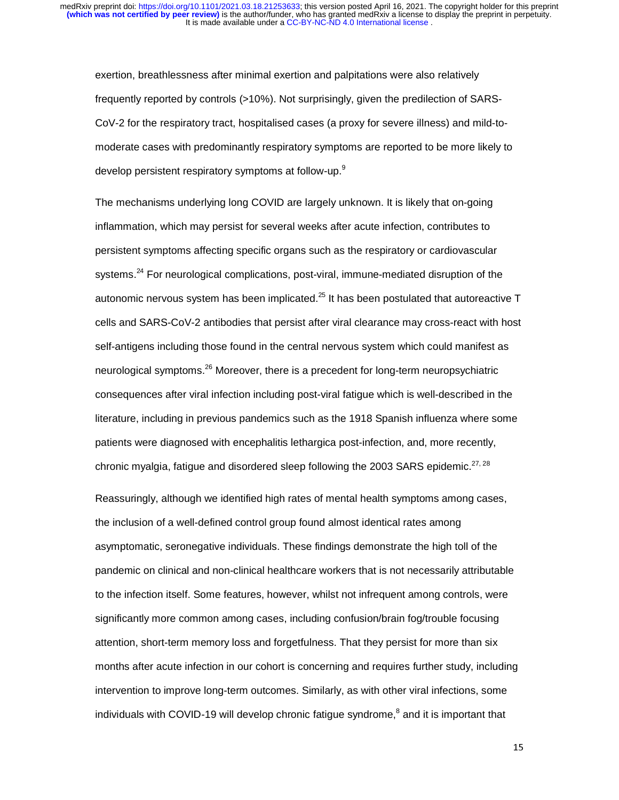exertion, breathlessness after minimal exertion and palpitations were also relatively frequently reported by controls (>10%). Not surprisingly, given the predilection of SARS-CoV-2 for the respiratory tract, hospitalised cases (a proxy for severe illness) and mild-tomoderate cases with predominantly respiratory symptoms are reported to be more likely to develop persistent respiratory symptoms at follow-up.<sup>9</sup>

The mechanisms underlying long COVID are largely unknown. It is likely that on-going inflammation, which may persist for several weeks after acute infection, contributes to persistent symptoms affecting specific organs such as the respiratory or cardiovascular systems.<sup>24</sup> For neurological complications, post-viral, immune-mediated disruption of the autonomic nervous system has been implicated. $^{25}$  It has been postulated that autoreactive T cells and SARS-CoV-2 antibodies that persist after viral clearance may cross-react with host self-antigens including those found in the central nervous system which could manifest as neurological symptoms.<sup>26</sup> Moreover, there is a precedent for long-term neuropsychiatric consequences after viral infection including post-viral fatigue which is well-described in the literature, including in previous pandemics such as the 1918 Spanish influenza where some patients were diagnosed with encephalitis lethargica post-infection, and, more recently, chronic myalgia, fatigue and disordered sleep following the 2003 SARS epidemic. $27,28$ 

Reassuringly, although we identified high rates of mental health symptoms among cases, the inclusion of a well-defined control group found almost identical rates among asymptomatic, seronegative individuals. These findings demonstrate the high toll of the pandemic on clinical and non-clinical healthcare workers that is not necessarily attributable to the infection itself. Some features, however, whilst not infrequent among controls, were significantly more common among cases, including confusion/brain fog/trouble focusing attention, short-term memory loss and forgetfulness. That they persist for more than six months after acute infection in our cohort is concerning and requires further study, including intervention to improve long-term outcomes. Similarly, as with other viral infections, some individuals with COVID-19 will develop chronic fatigue syndrome, $^8$  and it is important that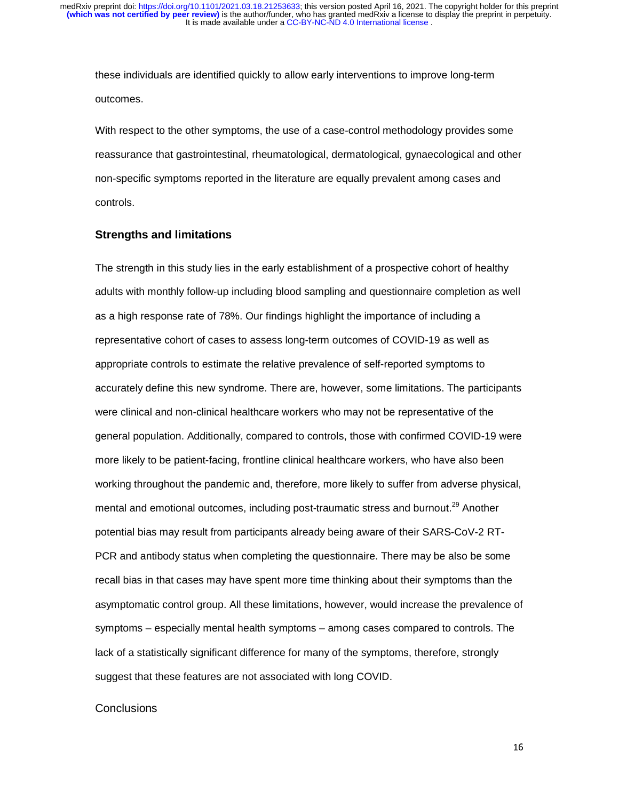these individuals are identified quickly to allow early interventions to improve long-term outcomes.

With respect to the other symptoms, the use of a case-control methodology provides some reassurance that gastrointestinal, rheumatological, dermatological, gynaecological and other non-specific symptoms reported in the literature are equally prevalent among cases and controls.

#### **Strengths and limitations**

The strength in this study lies in the early establishment of a prospective cohort of healthy adults with monthly follow-up including blood sampling and questionnaire completion as well as a high response rate of 78%. Our findings highlight the importance of including a representative cohort of cases to assess long-term outcomes of COVID-19 as well as appropriate controls to estimate the relative prevalence of self-reported symptoms to accurately define this new syndrome. There are, however, some limitations. The participants were clinical and non-clinical healthcare workers who may not be representative of the general population. Additionally, compared to controls, those with confirmed COVID-19 were more likely to be patient-facing, frontline clinical healthcare workers, who have also been working throughout the pandemic and, therefore, more likely to suffer from adverse physical, mental and emotional outcomes, including post-traumatic stress and burnout.<sup>29</sup> Another potential bias may result from participants already being aware of their SARS-CoV-2 RT-PCR and antibody status when completing the questionnaire. There may be also be some recall bias in that cases may have spent more time thinking about their symptoms than the asymptomatic control group. All these limitations, however, would increase the prevalence of symptoms – especially mental health symptoms – among cases compared to controls. The lack of a statistically significant difference for many of the symptoms, therefore, strongly suggest that these features are not associated with long COVID.

#### **Conclusions**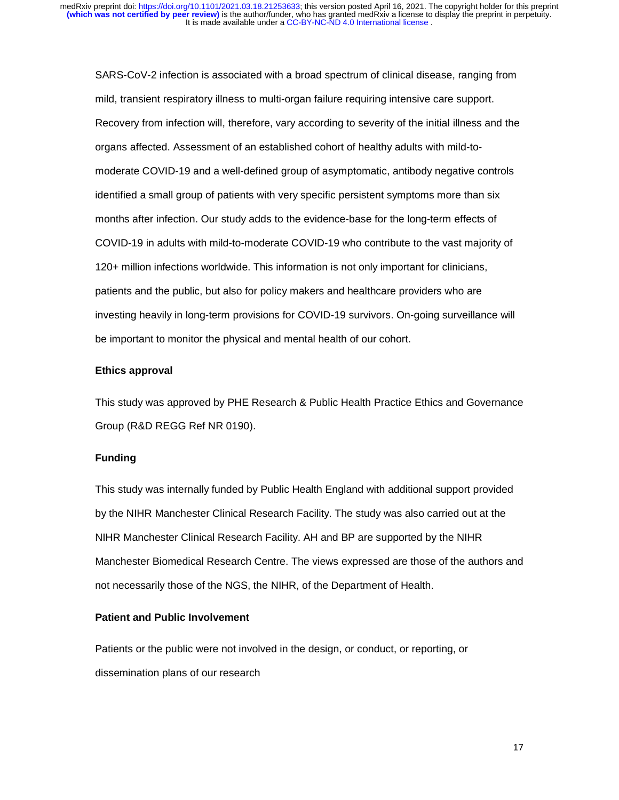SARS-CoV-2 infection is associated with a broad spectrum of clinical disease, ranging from mild, transient respiratory illness to multi-organ failure requiring intensive care support. Recovery from infection will, therefore, vary according to severity of the initial illness and the organs affected. Assessment of an established cohort of healthy adults with mild-tomoderate COVID-19 and a well-defined group of asymptomatic, antibody negative controls identified a small group of patients with very specific persistent symptoms more than six months after infection. Our study adds to the evidence-base for the long-term effects of COVID-19 in adults with mild-to-moderate COVID-19 who contribute to the vast majority of 120+ million infections worldwide. This information is not only important for clinicians, patients and the public, but also for policy makers and healthcare providers who are investing heavily in long-term provisions for COVID-19 survivors. On-going surveillance will be important to monitor the physical and mental health of our cohort.

#### **Ethics approval**

This study was approved by PHE Research & Public Health Practice Ethics and Governance Group (R&D REGG Ref NR 0190).

#### **Funding**

This study was internally funded by Public Health England with additional support provided by the NIHR Manchester Clinical Research Facility. The study was also carried out at the NIHR Manchester Clinical Research Facility. AH and BP are supported by the NIHR Manchester Biomedical Research Centre. The views expressed are those of the authors and not necessarily those of the NGS, the NIHR, of the Department of Health.

#### **Patient and Public Involvement**

Patients or the public were not involved in the design, or conduct, or reporting, or dissemination plans of our research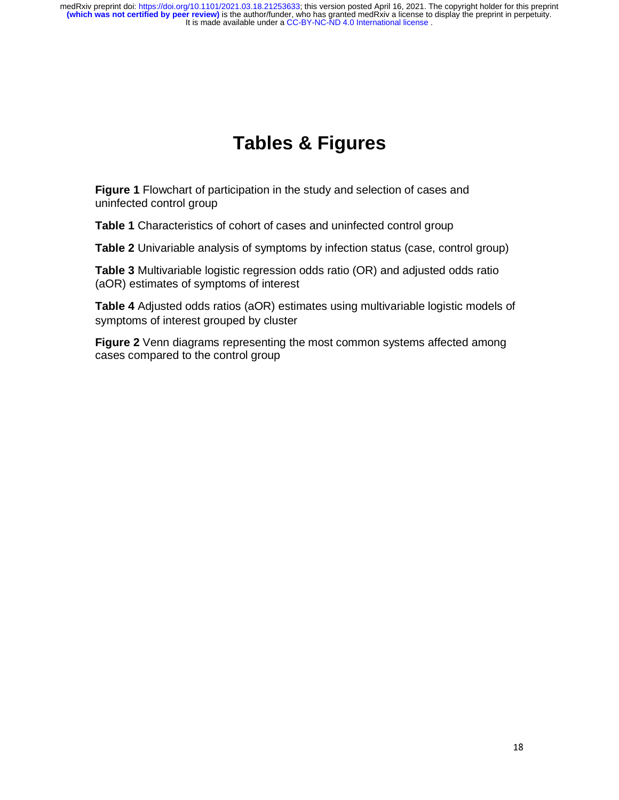# **Tables & Figures**

**Figure 1** Flowchart of participation in the study and selection of cases and uninfected control group

**Table 1** Characteristics of cohort of cases and uninfected control group

**Table 2** Univariable analysis of symptoms by infection status (case, control group)

**Table 3** Multivariable logistic regression odds ratio (OR) and adjusted odds ratio (aOR) estimates of symptoms of interest

**Table 4** Adjusted odds ratios (aOR) estimates using multivariable logistic models of symptoms of interest grouped by cluster

**Figure 2** Venn diagrams representing the most common systems affected among cases compared to the control group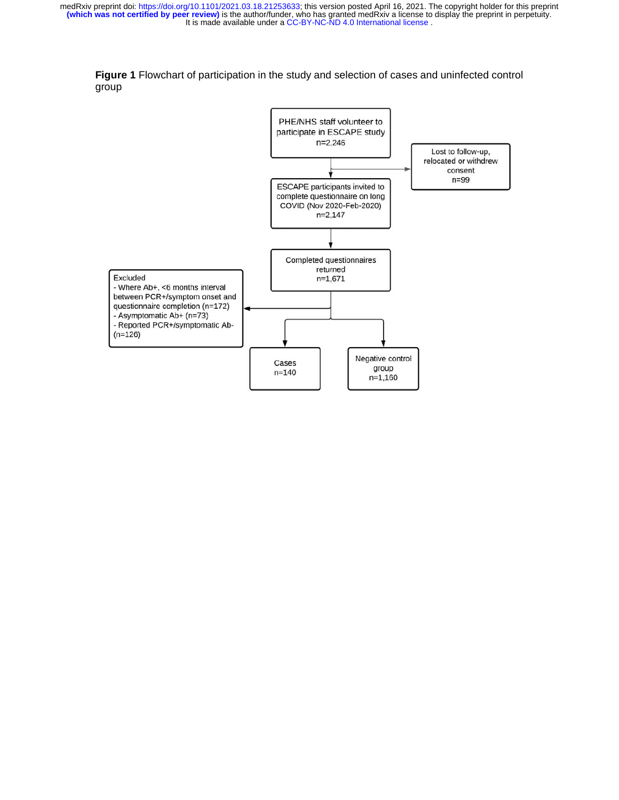

**Figure 1** Flowchart of participation in the study and selection of cases and uninfected control group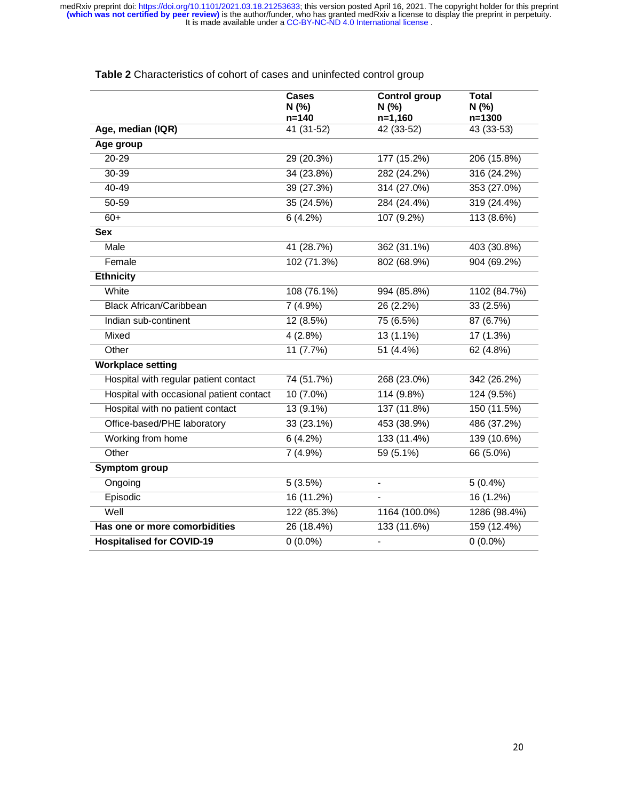|                                          | <b>Cases</b><br>N(% )<br>$n = 140$ | <b>Control group</b><br>N(% )<br>$n=1,160$ | <b>Total</b><br>N (%)<br>$n = 1300$ |
|------------------------------------------|------------------------------------|--------------------------------------------|-------------------------------------|
| Age, median (IQR)                        | 41 (31-52)                         | 42 (33-52)                                 | 43 (33-53)                          |
| Age group                                |                                    |                                            |                                     |
| 20-29                                    | 29 (20.3%)                         | 177 (15.2%)                                | 206 (15.8%)                         |
| 30-39                                    | 34 (23.8%)                         | 282 (24.2%)                                | 316 (24.2%)                         |
| $40 - 49$                                | 39 (27.3%)                         | 314 (27.0%)                                | 353 (27.0%)                         |
| 50-59                                    | 35 (24.5%)                         | 284 (24.4%)                                | 319 (24.4%)                         |
| $60+$                                    | $6(4.2\%)$                         | 107 (9.2%)                                 | 113 (8.6%)                          |
| <b>Sex</b>                               |                                    |                                            |                                     |
| Male                                     | $\overline{41}$ (28.7%)            | 362 (31.1%)                                | 403 (30.8%)                         |
| Female                                   | 102 (71.3%)                        | 802 (68.9%)                                | 904 (69.2%)                         |
| <b>Ethnicity</b>                         |                                    |                                            |                                     |
| White                                    | 108 (76.1%)                        | 994 (85.8%)                                | 1102 (84.7%)                        |
| <b>Black African/Caribbean</b>           | 7(4.9%)                            | 26 (2.2%)                                  | 33(2.5%)                            |
| Indian sub-continent                     | 12(8.5%)                           | 75 (6.5%)                                  | 87(6.7%)                            |
| Mixed                                    | 4(2.8%)                            | 13 (1.1%)                                  | 17 (1.3%)                           |
| Other                                    | 11 (7.7%)                          | $51(4.4\%)$                                | 62(4.8%)                            |
| <b>Workplace setting</b>                 |                                    |                                            |                                     |
| Hospital with regular patient contact    | 74 (51.7%)                         | 268 (23.0%)                                | 342 (26.2%)                         |
| Hospital with occasional patient contact | $10(7.0\%)$                        | 114(9.8%)                                  | 124 (9.5%)                          |
| Hospital with no patient contact         | $13(9.1\%)$                        | 137 (11.8%)                                | 150 (11.5%)                         |
| Office-based/PHE laboratory              | 33 (23.1%)                         | 453 (38.9%)                                | 486 (37.2%)                         |
| Working from home                        | 6(4.2%)                            | 133 (11.4%)                                | 139 (10.6%)                         |
| Other                                    | $7(4.9\%)$                         | $59(5.1\%)$                                | 66 (5.0%)                           |
| <b>Symptom group</b>                     |                                    |                                            |                                     |
| Ongoing                                  | 5(3.5%)                            | $\qquad \qquad \blacksquare$               | $5(0.4\%)$                          |
| Episodic                                 | 16 (11.2%)                         |                                            | 16(1.2%)                            |
| Well                                     | 122 (85.3%)                        | 1164 (100.0%)                              | 1286 (98.4%)                        |
| Has one or more comorbidities            | 26 (18.4%)                         | 133 (11.6%)                                | 159 (12.4%)                         |
| <b>Hospitalised for COVID-19</b>         | $0(0.0\%)$                         | $\overline{a}$                             | $0(0.0\%)$                          |

# **Table 2** Characteristics of cohort of cases and uninfected control group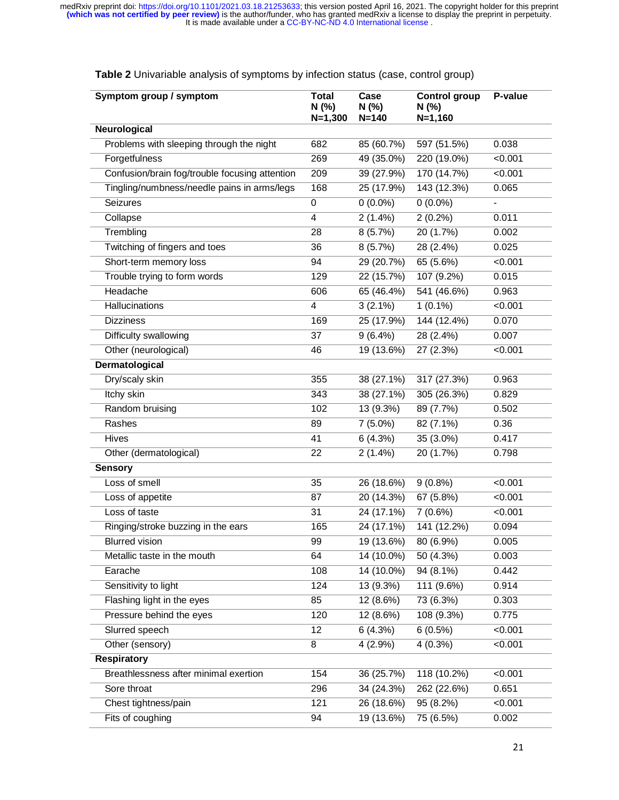| Symptom group / symptom                        | <b>Total</b><br>N (%)<br>$N=1,300$ | Case<br>N (%)<br>$N = 140$ | <b>Control group</b><br>N(% )<br>$N = 1,160$ | P-value       |  |
|------------------------------------------------|------------------------------------|----------------------------|----------------------------------------------|---------------|--|
| Neurological                                   |                                    |                            |                                              |               |  |
| Problems with sleeping through the night       | 682                                | 85 (60.7%)                 | 597 (51.5%)                                  | 0.038         |  |
| Forgetfulness                                  | 269                                | 49 (35.0%)                 | 220 (19.0%)                                  | < 0.001       |  |
| Confusion/brain fog/trouble focusing attention | 209                                | 39 (27.9%)                 | 170 (14.7%)                                  | < 0.001       |  |
| Tingling/numbness/needle pains in arms/legs    | 168                                | 25 (17.9%)                 | 143 (12.3%)                                  | 0.065         |  |
| Seizures                                       | $\boldsymbol{0}$                   | $0(0.0\%)$                 | $0(0.0\%)$                                   | $\frac{1}{2}$ |  |
| Collapse                                       | 4                                  | $2(1.4\%)$                 | $2(0.2\%)$                                   | 0.011         |  |
| Trembling                                      | 28                                 | 8(5.7%)                    | 20 (1.7%)                                    | 0.002         |  |
| Twitching of fingers and toes                  | 36                                 | 8(5.7%)                    | 28 (2.4%)                                    | 0.025         |  |
| Short-term memory loss                         | 94                                 | 29 (20.7%)                 | 65 (5.6%)                                    | < 0.001       |  |
| Trouble trying to form words                   | 129                                | 22(15.7%)                  | 107 (9.2%)                                   | 0.015         |  |
| Headache                                       | 606                                | 65 (46.4%)                 | 541 (46.6%)                                  | 0.963         |  |
| Hallucinations                                 | 4                                  | $3(2.1\%)$                 | $1(0.1\%)$                                   | < 0.001       |  |
| <b>Dizziness</b>                               | 169                                | 25 (17.9%)                 | 144 (12.4%)                                  | 0.070         |  |
| Difficulty swallowing                          | 37                                 | $9(6.4\%)$                 | 28 (2.4%)                                    | 0.007         |  |
| Other (neurological)                           | 46                                 | 19(13.6%)                  | 27 (2.3%)                                    | < 0.001       |  |
| Dermatological                                 |                                    |                            |                                              |               |  |
| Dry/scaly skin                                 | 355                                | 38 (27.1%)                 | 317 (27.3%)                                  | 0.963         |  |
| Itchy skin                                     | 343                                | 38 (27.1%)                 | 305 (26.3%)                                  | 0.829         |  |
| Random bruising                                | 102                                | 13 (9.3%)                  | 89 (7.7%)                                    | 0.502         |  |
| Rashes                                         | 89                                 | $7(5.0\%)$                 | 82 (7.1%)                                    | 0.36          |  |
| Hives                                          | 41                                 | 6(4.3%)                    | 35 (3.0%)                                    | 0.417         |  |
| Other (dermatological)                         | 22                                 | $2(1.4\%)$                 | 20 (1.7%)                                    | 0.798         |  |
| <b>Sensory</b>                                 |                                    |                            |                                              |               |  |
| Loss of smell                                  | 35                                 | 26 (18.6%)                 | $9(0.8\%)$                                   | < 0.001       |  |
| Loss of appetite                               | 87                                 | 20 (14.3%)                 | $\overline{67}$ (5.8%)                       | < 0.001       |  |
| Loss of taste                                  | 31                                 | 24 (17.1%)                 | 7(0.6%)                                      | < 0.001       |  |
| Ringing/stroke buzzing in the ears             | 165                                | 24 (17.1%)                 | 141(12.2%)                                   | 0.094         |  |
| <b>Blurred vision</b>                          | 99                                 | 19(13.6%)                  | 80 (6.9%)                                    | 0.005         |  |
| Metallic taste in the mouth                    | 64                                 | 14 (10.0%)                 | 50 (4.3%)                                    | 0.003         |  |
| Earache                                        | 108                                | 14 (10.0%)                 | 94 (8.1%)                                    | 0.442         |  |
| Sensitivity to light                           | 124                                | 13 (9.3%)                  | 111 (9.6%)                                   | 0.914         |  |
| Flashing light in the eyes                     | 85                                 | 12 (8.6%)                  | 73 (6.3%)                                    | 0.303         |  |
| Pressure behind the eyes                       | 120                                | 12 (8.6%)                  | 108 (9.3%)                                   | 0.775         |  |
| Slurred speech                                 | 12                                 | $6(4.3\%)$                 | 6(0.5%)                                      | < 0.001       |  |
| Other (sensory)                                | 8                                  | $4(2.9\%)$                 | $4(0.3\%)$                                   | < 0.001       |  |
| <b>Respiratory</b>                             |                                    |                            |                                              |               |  |
| Breathlessness after minimal exertion          | 154                                | 36 (25.7%)                 | 118 (10.2%)                                  | < 0.001       |  |
| Sore throat                                    | 296                                | 34 (24.3%)                 | 262 (22.6%)                                  | 0.651         |  |
| Chest tightness/pain                           | 121                                | 26 (18.6%)                 | 95(8.2%)                                     | < 0.001       |  |
| Fits of coughing                               | 94                                 | 19 (13.6%)                 | 75 (6.5%)                                    | 0.002         |  |

**Table 2** Univariable analysis of symptoms by infection status (case, control group)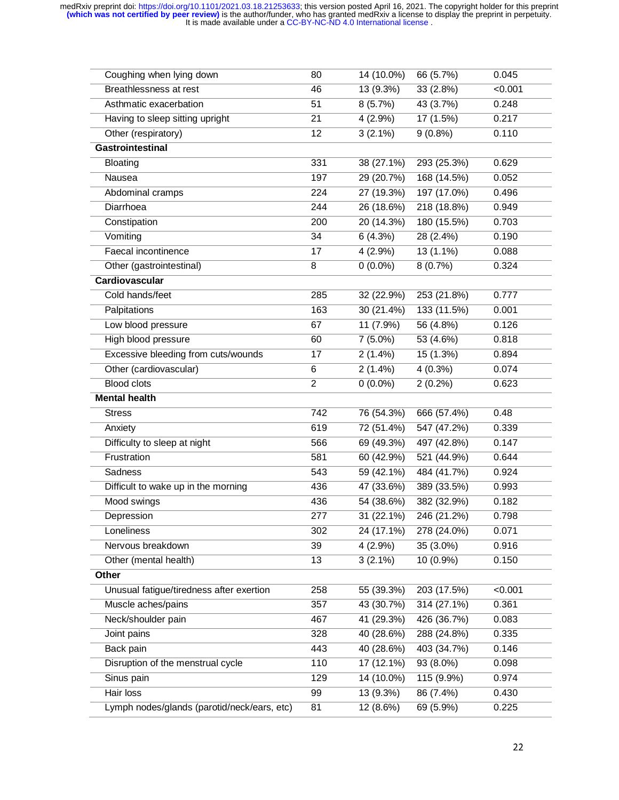| Coughing when lying down                    | 80               | 14 (10.0%)              | 66 (5.7%)   | 0.045   |
|---------------------------------------------|------------------|-------------------------|-------------|---------|
| Breathlessness at rest                      | 46               | 13 (9.3%)               | 33 (2.8%)   | < 0.001 |
| Asthmatic exacerbation                      | 51               | 8(5.7%)                 | 43 (3.7%)   | 0.248   |
| Having to sleep sitting upright             | 21               | $4(2.9\%)$              | 17(1.5%)    | 0.217   |
| Other (respiratory)                         | 12               | $3(2.1\%)$              | $9(0.8\%)$  | 0.110   |
| Gastrointestinal                            |                  |                         |             |         |
| <b>Bloating</b>                             | 331              | 38 (27.1%)              | 293 (25.3%) | 0.629   |
| Nausea                                      | 197              | 29(20.7%)               | 168 (14.5%) | 0.052   |
| Abdominal cramps                            | 224              | 27 (19.3%)              | 197 (17.0%) | 0.496   |
| Diarrhoea                                   | 244              | 26 (18.6%)              | 218 (18.8%) | 0.949   |
| Constipation                                | 200              | 20 (14.3%)              | 180 (15.5%) | 0.703   |
| Vomiting                                    | 34               | 6(4.3%)                 | 28 (2.4%)   | 0.190   |
| Faecal incontinence                         | 17               | $4(2.9\%)$              | $13(1.1\%)$ | 0.088   |
| Other (gastrointestinal)                    | 8                | $0(0.0\%)$              | 8(0.7%)     | 0.324   |
| Cardiovascular                              |                  |                         |             |         |
| Cold hands/feet                             | 285              | 32 (22.9%)              | 253 (21.8%) | 0.777   |
| Palpitations                                | 163              | 30 (21.4%)              | 133 (11.5%) | 0.001   |
| Low blood pressure                          | 67               | 11 (7.9%)               | 56 (4.8%)   | 0.126   |
| High blood pressure                         | 60               | $7(5.0\%)$              | 53 (4.6%)   | 0.818   |
| Excessive bleeding from cuts/wounds         | 17               | $2(1.4\%)$              | 15 (1.3%)   | 0.894   |
| Other (cardiovascular)                      | 6                | $2(1.4\%)$              | $4(0.3\%)$  | 0.074   |
| <b>Blood clots</b>                          | $\overline{2}$   | $0(0.0\%)$              | $2(0.2\%)$  | 0.623   |
| <b>Mental health</b>                        |                  |                         |             |         |
| <b>Stress</b>                               | 742              | 76 (54.3%)              | 666 (57.4%) | 0.48    |
| Anxiety                                     | 619              | 72 (51.4%)              | 547 (47.2%) | 0.339   |
| Difficulty to sleep at night                | 566              | 69 (49.3%)              | 497 (42.8%) | 0.147   |
| Frustration                                 | 581              | 60 (42.9%)              | 521 (44.9%) | 0.644   |
| Sadness                                     | 543              | 59 (42.1%)              | 484 (41.7%) | 0.924   |
| Difficult to wake up in the morning         | 436              | 47 (33.6%)              | 389 (33.5%) | 0.993   |
| Mood swings                                 | 436              | 54 (38.6%)              | 382 (32.9%) | 0.182   |
| Depression                                  | $\overline{277}$ | 31(22.1%)               | 246 (21.2%) | 0.798   |
| Loneliness                                  | 302              | 24 (17.1%)              | 278 (24.0%) | 0.071   |
| Nervous breakdown                           | $\overline{39}$  | $4(2.9\%)$              | $35(3.0\%)$ | 0.916   |
| Other (mental health)                       | 13               | $3(2.1\%)$              | 10 (0.9%)   | 0.150   |
| Other                                       |                  |                         |             |         |
| Unusual fatigue/tiredness after exertion    | 258              | 55 (39.3%)              | 203 (17.5%) | < 0.001 |
| Muscle aches/pains                          | 357              | 43 (30.7%)              | 314 (27.1%) | 0.361   |
| Neck/shoulder pain                          | 467              | 41 (29.3%)              | 426 (36.7%) | 0.083   |
| Joint pains                                 | 328              | 40 (28.6%)              | 288 (24.8%) | 0.335   |
| Back pain                                   | 443              | 40 (28.6%)              | 403 (34.7%) | 0.146   |
| Disruption of the menstrual cycle           | 110              | 17 (12.1%)              | $93(8.0\%)$ | 0.098   |
| Sinus pain                                  | 129              | $\overline{14}$ (10.0%) | 115 (9.9%)  | 0.974   |
| Hair loss                                   | 99               | 13(9.3%)                | 86 (7.4%)   | 0.430   |
| Lymph nodes/glands (parotid/neck/ears, etc) | 81               | 12 (8.6%)               | 69 (5.9%)   | 0.225   |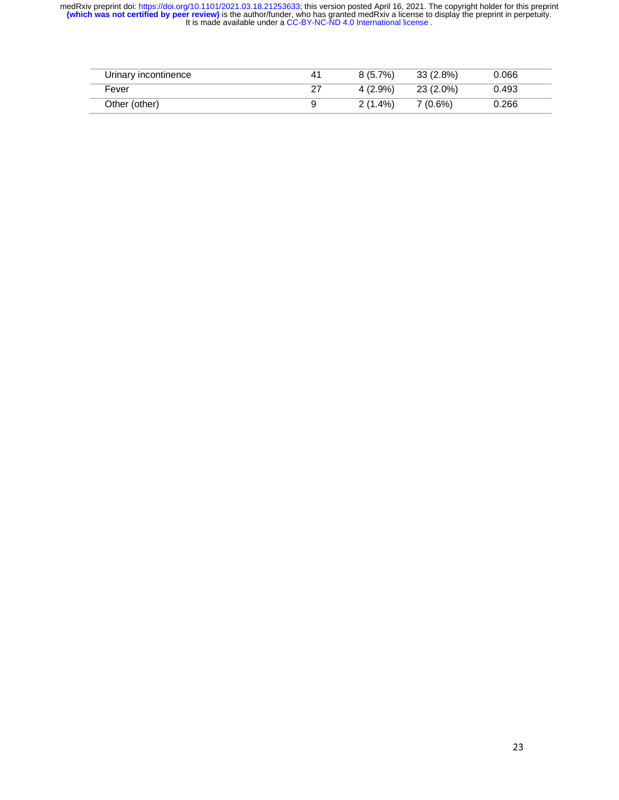| Urinary incontinence | 41 | $8(5.7\%)$ | 33 (2.8%) | 0.066 |
|----------------------|----|------------|-----------|-------|
| Fever                | 27 | $4(2.9\%)$ | 23 (2.0%) | 0.493 |
| Other (other)        | 9  | $2(1.4\%)$ | 7 (0.6%)  | 0.266 |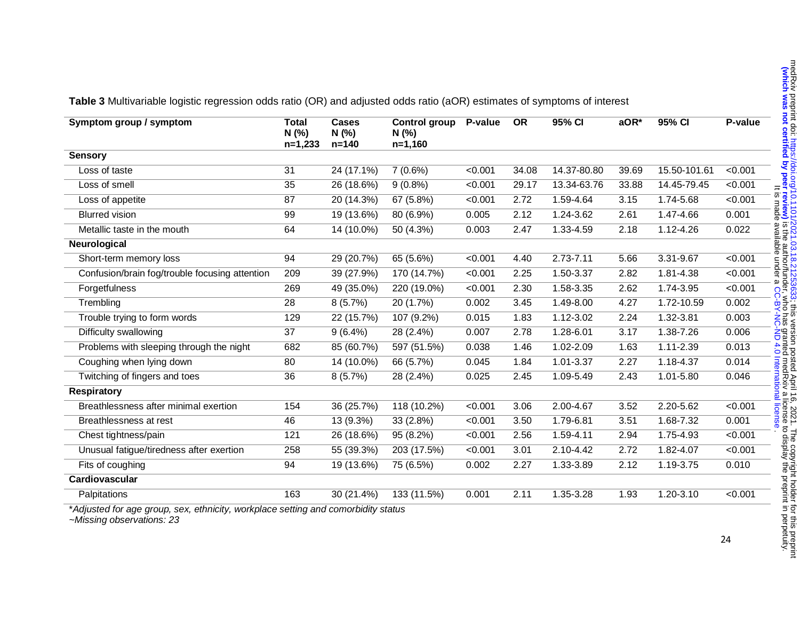| Symptom group / symptom                        | <b>Total</b><br>N(% )<br>$n=1,233$ | <b>Cases</b><br>N (%)<br>$n = 140$ | Control group<br>N(%<br>$n=1,160$ | P-value | <b>OR</b> | 95% CI        | aOR*  | 95% CI       | P-value |
|------------------------------------------------|------------------------------------|------------------------------------|-----------------------------------|---------|-----------|---------------|-------|--------------|---------|
| <b>Sensory</b>                                 |                                    |                                    |                                   |         |           |               |       |              |         |
| Loss of taste                                  | 31                                 | 24 (17.1%)                         | 7(0.6%)                           | < 0.001 | 34.08     | 14.37-80.80   | 39.69 | 15.50-101.61 | < 0.001 |
| Loss of smell                                  | 35                                 | 26 (18.6%)                         | $9(0.8\%)$                        | < 0.001 | 29.17     | 13.34-63.76   | 33.88 | 14.45-79.45  | < 0.001 |
| Loss of appetite                               | 87                                 | 20 (14.3%)                         | 67 (5.8%)                         | < 0.001 | 2.72      | 1.59-4.64     | 3.15  | 1.74-5.68    | < 0.001 |
| <b>Blurred vision</b>                          | 99                                 | 19 (13.6%)                         | 80 (6.9%)                         | 0.005   | 2.12      | 1.24-3.62     | 2.61  | 1.47-4.66    | 0.001   |
| Metallic taste in the mouth                    | 64                                 | 14 (10.0%)                         | 50 (4.3%)                         | 0.003   | 2.47      | 1.33-4.59     | 2.18  | 1.12-4.26    | 0.022   |
| Neurological                                   |                                    |                                    |                                   |         |           |               |       |              |         |
| Short-term memory loss                         | 94                                 | 29 (20.7%)                         | 65 (5.6%)                         | < 0.001 | 4.40      | 2.73-7.11     | 5.66  | 3.31-9.67    | < 0.001 |
| Confusion/brain fog/trouble focusing attention | 209                                | 39 (27.9%)                         | 170 (14.7%)                       | < 0.001 | 2.25      | 1.50-3.37     | 2.82  | 1.81-4.38    | < 0.001 |
| Forgetfulness                                  | 269                                | 49 (35.0%)                         | 220 (19.0%)                       | < 0.001 | 2.30      | 1.58-3.35     | 2.62  | 1.74-3.95    | < 0.001 |
| Trembling                                      | 28                                 | 8(5.7%)                            | 20 (1.7%)                         | 0.002   | 3.45      | 1.49-8.00     | 4.27  | 1.72-10.59   | 0.002   |
| Trouble trying to form words                   | 129                                | 22 (15.7%)                         | 107 (9.2%)                        | 0.015   | 1.83      | 1.12-3.02     | 2.24  | 1.32-3.81    | 0.003   |
| Difficulty swallowing                          | 37                                 | $9(6.4\%)$                         | 28 (2.4%)                         | 0.007   | 2.78      | 1.28-6.01     | 3.17  | 1.38-7.26    | 0.006   |
| Problems with sleeping through the night       | 682                                | 85 (60.7%)                         | 597 (51.5%)                       | 0.038   | 1.46      | 1.02-2.09     | 1.63  | 1.11-2.39    | 0.013   |
| Coughing when lying down                       | 80                                 | 14 (10.0%)                         | 66 (5.7%)                         | 0.045   | 1.84      | 1.01-3.37     | 2.27  | 1.18-4.37    | 0.014   |
| Twitching of fingers and toes                  | 36                                 | $8(5.7\%)$                         | 28 (2.4%)                         | 0.025   | 2.45      | 1.09-5.49     | 2.43  | 1.01-5.80    | 0.046   |
| <b>Respiratory</b>                             |                                    |                                    |                                   |         |           |               |       |              |         |
| Breathlessness after minimal exertion          | 154                                | 36 (25.7%)                         | 118 (10.2%)                       | < 0.001 | 3.06      | 2.00-4.67     | 3.52  | 2.20-5.62    | < 0.001 |
| Breathlessness at rest                         | 46                                 | 13 (9.3%)                          | 33 (2.8%)                         | < 0.001 | 3.50      | 1.79-6.81     | 3.51  | 1.68-7.32    | 0.001   |
| Chest tightness/pain                           | 121                                | 26 (18.6%)                         | 95 (8.2%)                         | < 0.001 | 2.56      | $1.59 - 4.11$ | 2.94  | 1.75-4.93    | < 0.001 |
| Unusual fatigue/tiredness after exertion       | 258                                | 55 (39.3%)                         | 203 (17.5%)                       | < 0.001 | 3.01      | 2.10-4.42     | 2.72  | 1.82-4.07    | < 0.001 |
| Fits of coughing                               | 94                                 | 19 (13.6%)                         | 75 (6.5%)                         | 0.002   | 2.27      | 1.33-3.89     | 2.12  | 1.19-3.75    | 0.010   |
| Cardiovascular                                 |                                    |                                    |                                   |         |           |               |       |              |         |
| Palpitations                                   | 163                                | 30 (21.4%)                         | 133 (11.5%)                       | 0.001   | 2.11      | 1.35-3.28     | 1.93  | 1.20-3.10    | < 0.001 |
|                                                |                                    |                                    |                                   |         |           |               |       |              |         |

**Table 3** Multivariable logistic regression odds ratio (OR) and adjusted odds ratio (aOR) estimates of symptoms of interest

\**Adjusted for age group, sex, ethnicity, workplace setting and comorbidity status* 

*~Missing observations: 23*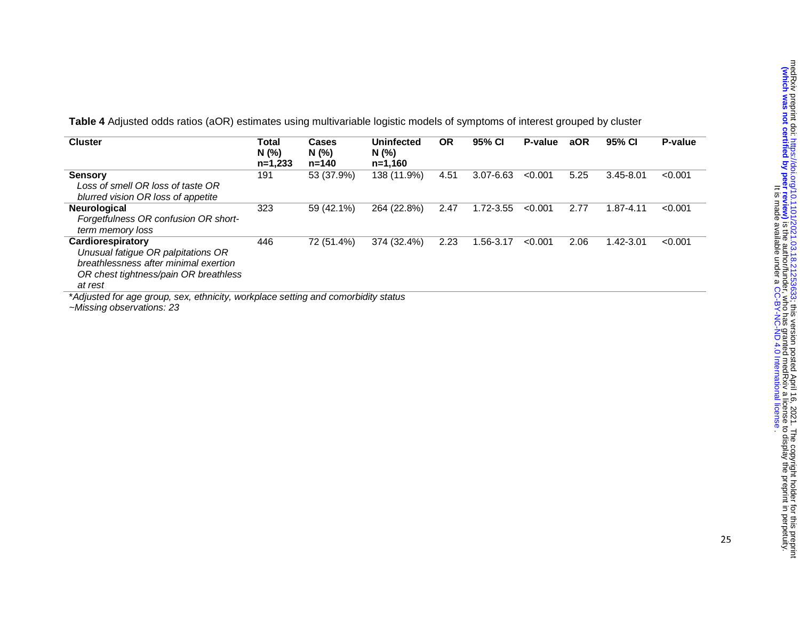**Table 4** Adjusted odds ratios (aOR) estimates using multivariable logistic models of symptoms of interest grouped by cluster

| <b>Cluster</b>                                                                                                                                       | Total<br>N(%<br>$n=1.233$ | Cases<br>N(%)<br>$n = 140$ | <b>Uninfected</b><br>N(%<br>$n=1.160$ | <b>OR</b> | 95% CI        | P-value | aOR  | 95% CI        | P-value |
|------------------------------------------------------------------------------------------------------------------------------------------------------|---------------------------|----------------------------|---------------------------------------|-----------|---------------|---------|------|---------------|---------|
| <b>Sensory</b><br>Loss of smell OR loss of taste OR<br>blurred vision OR loss of appetite                                                            | 191                       | 53 (37.9%)                 | 138 (11.9%)                           | 4.51      | $3.07 - 6.63$ | < 0.001 | 5.25 | $3.45 - 8.01$ | < 0.001 |
| <b>Neurological</b><br>Forgetfulness OR confusion OR short-<br>term memory loss                                                                      | 323                       | 59 (42.1%)                 | 264 (22.8%)                           | 2.47      | 1.72-3.55     | < 0.001 | 2.77 | 1.87-4.11     | < 0.001 |
| Cardiorespiratory<br>Unusual fatigue OR palpitations OR<br>breathlessness after minimal exertion<br>OR chest tightness/pain OR breathless<br>at rest | 446                       | 72 (51.4%)                 | 374 (32.4%)                           | 2.23      | 1.56-3.17     | < 0.001 | 2.06 | 1.42-3.01     | < 0.001 |

*~Missing observations: 23*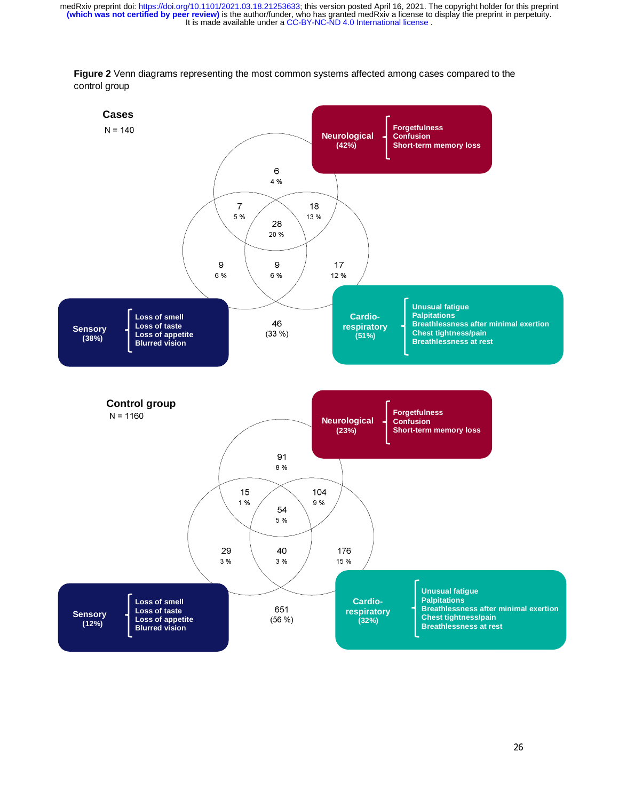

**Figure 2** Venn diagrams representing the most common systems affected among cases compared to the control group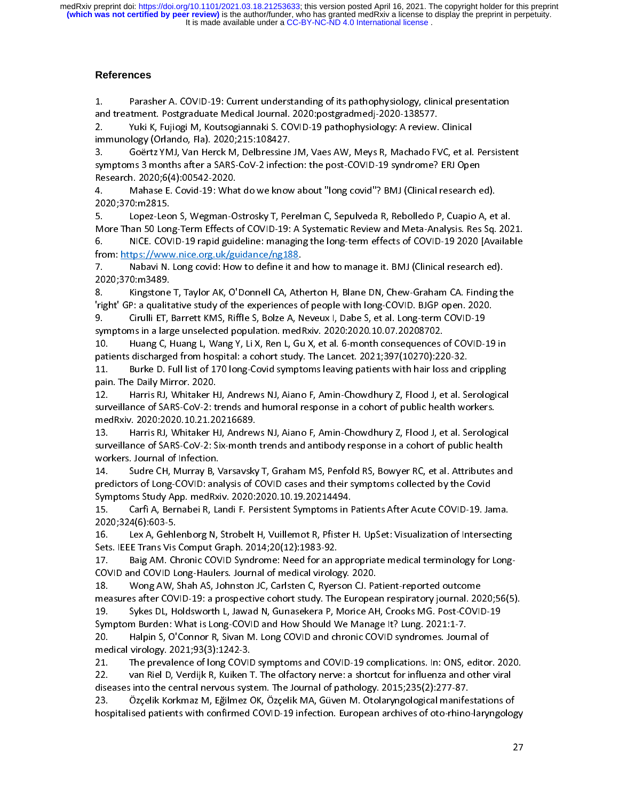## **References**

1. Parasher A. COVID-19: Current understanding of its pathophysiology, clinical presentation<br>10. Parasher A. Covids Medical Journal. 2020: postgradmedj-2020-138577.<br>10. Pulki K, Fujiogi M, Koutsogiannaki S. COVID-19 pathop

Yuki K, Fujiogi M, Koutsogiannaki S. COVID-19 pathophysiology: A review. Clinical

2. Yuki K, Fujiogi M, Koutsogiannaki S. COVID-19 pathophysiology: A review. Clinical immunology (Orlando, Fla). 2020;215:108427.

Research. 2020;6(4):00542-2020.<br>4. Mahase E. Covid-19: What do we know about "long covid"? BMJ (Clinical research ed).<br>2020:370:m2815. Research. 2020;6(4):00542-2020.

5. Lopez-Leon S, Wegman-Ostrosky T, Perelman C, Sepulveda R, Rebolledo P, Cuapio A, et al. 2020;370:m2815.<br>5. Lopez-Leon S, Wegman-Ostrosky T, Perelman C, Sepulveda R, Rebolledo P, Cuapio A, et<br>More Than 50 Long-Term Effects of COVID-19: A Systematic Review and Meta-Analysis. Res Sq.<br>6. NICE. COVID-19 rapid guid -----,---------------<br>5. Lopez-Leo<br>More Than 50 Lon<br>6. NICE. COV<br>from: https://wwv

5. More Than 50 Long-Term Effects of COVID-19: A Systematic Review and Meta-Analysis. Res Sq. 2026<br>5. NICE. COVID-19 rapid guideline: managing the long-term effects of COVID-19 2020 [Availak<br>from: https://www.nice.org.uk/g 6. NICE. COVID-19 rapid guideline: managing the long-term effects of COVID-19 2020 [Available from: https://www.nice.org.uk/guidance/ng188.<br>7. Nabavi N. Long covid: How to define it and how to manage it. BMJ (Clinical rese

from: https://www.nice.org.uk/guidance/ng188.

8. Kingstone T, Taylor AK, O'Donnell CA, Atherton H, Blane DN, Chew-Graham CA. Finding the 2020;370:m3489.<br>8. Kingstone T, Taylor AK, O'Donnell CA, Atherton H, Blane DN, Chew-Graham CA. Finding th<br>1. Tright' GP: a qualitative study of the experiences of people with long-COVID. BJGP open. 2020.<br>1. 2020;370:m3489. 8. Kingstone T, Taylor AK, O'Donnell CA, Atherton H, Blane DN, Chew-Graham CA. Finding the

'right' GP: a qualitative study of the experiences of people with long-COVID. BJGP open. 2020.<br>9. Cirulli ET, Barrett KMS, Riffle S, Bolze A, Neveux I, Dabe S, et al. Long-term COVID-19<br>symptoms in a large unselect

symptoms in a large unselected population. medRxiv. 2020:2020.10.07.20208702.<br>10. Huang C, Huang L, Wang Y, Li X, Ren L, Gu X, et al. 6-month consequences of COVID-:<br>patients discharged from hospital: a cohort stud symptoms in a large union of the large union.<br>10. Huang C, Huang L, Wang Y, Li X, Ren L, Gu X, et al. 6-month consequences c<br>11. Burke D. Full list of 170 long-Covid symptoms leaving patients with hair lo

10. Huang C, Huang L, Wang Y, Li X, Ren L, Gu X, et al. 6-month consequences of COVID-19 in<br>patients discharged from hospital: a cohort study. The Lancet. 2021;397(10270):220-32.<br>11. Burke D. Full list of 170 long-Covid sy paticary of the D. Full list of 170 long-Covid symptoms leaving patients with hair loss and<br>pain. The Daily Mirror. 2020.<br>12. Harris RJ, Whitaker HJ, Andrews NJ, Aiano F, Amin-Chowdhury Z, Flood J, et al. Se<br>survei

12. Harris RJ, Whitaker HJ, Andrews NJ, Aiano F, Amin-Chowdhury Z, Flood J, et al. Serological<br>surveillance of SARS-CoV-2: trends and humoral response in a cohort of public health workers.<br>medRxiv. 2020:2020.10.21.20216689 pain. The Daily Mirror.<br>12. Harris RJ, Whitaker H<br>surveillance of SARS-CoV-2: ti<br>medRxiv. 2020:2020.10.21.20<br>13. Harris RJ, Whitaker H

12. Harris RJ, Whitaker HJ, Andrews NJ, Aiano F, Amin-Chowdhury Z, Flood J, et al. Serological surveillance of SARS-CoV-2: 1.20216689.<br>ThedRxiv. 2020:2020.10.21.20216689.<br>13. Harris RJ, Whitaker HJ, Andrews NJ, Aiano F, Amin-Chowdhury Z, Flood J, et al. Serologi<br>surveillance of SARS-CoV-2: Six-month trends medal - Harris RJ, Whitaker HJ, Andrew<br>13. Harris RJ, Whitaker HJ, Andrew<br>surveillance of SARS-CoV-2: Six-month<br>workers. Journal of Infection.<br>14. Sudre CH, Murray B, Varsavsky surveillance of SARS-CoV-2: Six-month trends and antibody response in a cohort of public health<br>workers. Journal of Infection.<br>14. Sudre CH, Murray B, Varsavsky T, Graham MS, Penfold RS, Bowyer RC, et al. Attributes

workers. Journal of Infection.<br>14. Sudre CH, Murray B, Varsavsky T, Graham MS, Penfold RS, Bowyer RC, et al. Attributes ar<br>predictors of Long-COVID: analysis of COVID cases and their symptoms collected by the Covid<br>S 14. Sudre CH, Murray B, V<br>predictors of Long-COVID: ana<br>Symptoms Study App. medRxi<br>15. Carfi A, Bernabei R, La predictors of Long-COVID: analysis of COVID cases and their symptoms collected by the Covid<br>Symptoms Study App. medRxiv. 2020:2020.10.19.20214494.<br>15. Carfi A, Bernabei R, Landi F. Persistent Symptoms in Patients A

predictors Study App. medRxiv. 2020:2020.10.19.20214494.<br>15. Carfi A, Bernabei R, Landi F. Persistent Symptoms in Patients After Acute COVID-19. Ja<br>2020;324(6):603-5.<br>16. Lex A, Gehlenborg N, Strobelt H, Vuillemot R, Pfist Symptoms Starf A, Bernabei R, Landi F. Persistent Symptoms in F<br>2020;324(6):603-5.<br>16. Lex A, Gehlenborg N, Strobelt H, Vuillemot R, Pfister I<br>Sets. IEEE Trans Vis Comput Graph. 2014;20(12):1983-92.

2020;324(6):603-5.<br>16. Lex A, Gehlenborg N, Strobelt H, Vuillemot R, Pfister H. UpSet: Visualization of Intersecting<br>Sets. IEEE Trans Vis Comput Graph. 2014;20(12):1983-92.<br>17. Baig AM. Chronic COVID Syndrom 2020;324(6):603-5.<br>16. Lex A, Gehlenborg N, Strobelt H, Vuillemot R, Pfister H. Up.<br>2014;20(12):1983-92.<br>17. Baig AM. Chronic COVID Syndrome: Need for an appropria<br>20VID and COVID Long-Haulers. Journal of medical virology.

17. Baig AM. Chronic COVID Syndrome: Need for an appropriate medical terminology for Long-<br>COVID and COVID Long-Haulers. Journal of medical virology. 2020.<br>18. Wong AW, Shah AS, Johnston JC, Carlsten C, Ryerson CJ. Patient 17. Baig AM. Chronic COVID Syndrome: Need for an a<br>COVID and COVID Long-Haulers. Journal of medical virolog<br>18. Nong AW, Shah AS, Johnston JC, Carlsten C, Ryers<br>measures after COVID-19: a prospective cohort study. The

The Covid and Covid and Covid and Covid and Covid and Covid and Covid and Covid and Sumessures after COVID-19: a prospective cohort study. The Europea<br>19. Sykes DL, Holdsworth L, Jawad N, Gunasekera P, Morice AF<br>Symptom Bu measures after COVID-19: a prospective cohort study. The European respiratory journal. 20.<br>19. Sykes DL, Holdsworth L, Jawad N, Gunasekera P, Morice AH, Crooks MG. Post-COVII<br>Symptom Burden: What is Long-COVID and Ho

19. Sykes DL, Holdsworth L, Jawad N, Gunasekera P, Morice AH, Crooks MG. Post-COVID-19<br>Symptom Burden: What is Long-COVID and How Should We Manage It? Lung. 2021:1-7.<br>20. Halpin S, O'Connor R, Sivan M. Long COVID and chron Symptom Burden: What is Long-COVID and How Should We Manage It? Lung. 2021:1-7.<br>20. Halpin S, O'Connor R, Sivan M. Long COVID and chronic COVID syndromes. Journal of<br>medical virology. 2021;93(3):1242-3.<br>21. Symptom Burden: What is Long-COVID and chronic COVID syndromes. Journ<br>Symptom Burden: What is long-COVID and thronic COVID syndromes. Journ<br>Medical virology. 2021;93(3):1242-3.<br>21. The prevalence of long-COVID symptoms and

20. Halpin S, O'Connor R, Sivan M. Long COVID and chronic COVID syndromes. Journal of<br>medical virology. 2021;93(3):1242-3.<br>21. The prevalence of long COVID symptoms and COVID-19 complications. In: ONS, edit medical virology. 2021<br>21. The prevalence of long COVID<br>22. Joan Riel D, Verdijk R, Kuiken 1<br>diseases into the central nervous syst<br>23. Özçelik Korkmaz M, Eğilmez C 22. van Riel D, Verdijk R, Kuiken T. The olfactory nerve: a shortcut for influenza and other viral<br>diseases into the central nervous system. The Journal of pathology. 2015;235(2):277-87.<br>23. Özçelik Korkmaz

22. van Riel D, Verdijk R, Kuiken T. The olfactory nerve: a shortcut for influenza and other viral 23. Özçelik Korkmaz M, Eğilmez OK, Özçelik MA, Güven M. Otolaryngological manife:<br>hospitalised patients with confirmed COVID-19 infection. European archives of oto-rhino<br>. hospitalised patients with confirmed COVID-19 infection. European archives of oto-rhino-laryngolog<br>2 hospitalised patients with confirmed COVID-19 infection. European archives of oto-rhino-laryngology